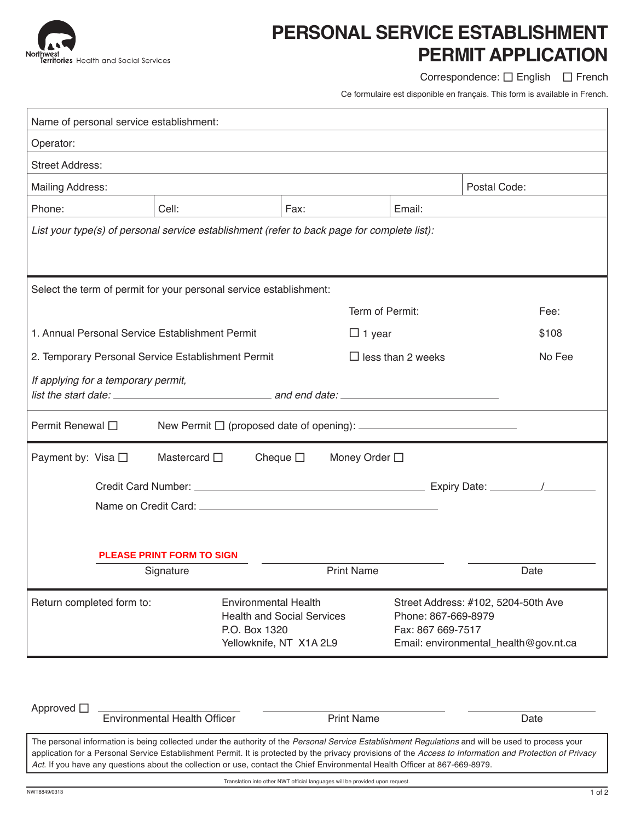

## **Personal Service Establishment Permit Application**

Correspondence:  $\square$  English  $\square$  French

Ce formulaire est disponible en français. This form is available in French.

| Name of personal service establishment:                                                     |           |                                                              |        |                                                                                                                          |       |  |  |
|---------------------------------------------------------------------------------------------|-----------|--------------------------------------------------------------|--------|--------------------------------------------------------------------------------------------------------------------------|-------|--|--|
| Operator:                                                                                   |           |                                                              |        |                                                                                                                          |       |  |  |
| <b>Street Address:</b>                                                                      |           |                                                              |        |                                                                                                                          |       |  |  |
| <b>Mailing Address:</b>                                                                     |           |                                                              |        |                                                                                                                          |       |  |  |
| Phone:                                                                                      | Cell:     | Fax:                                                         | Email: |                                                                                                                          |       |  |  |
| List your type(s) of personal service establishment (refer to back page for complete list): |           |                                                              |        |                                                                                                                          |       |  |  |
|                                                                                             |           |                                                              |        |                                                                                                                          |       |  |  |
| Select the term of permit for your personal service establishment:                          |           |                                                              |        |                                                                                                                          |       |  |  |
|                                                                                             |           | Term of Permit:                                              |        |                                                                                                                          | Fee:  |  |  |
| 1. Annual Personal Service Establishment Permit<br>$\Box$ 1 year                            |           |                                                              |        |                                                                                                                          | \$108 |  |  |
| 2. Temporary Personal Service Establishment Permit                                          |           | $\Box$ less than 2 weeks                                     |        | No Fee                                                                                                                   |       |  |  |
| If applying for a temporary permit,<br>list the start date: $\qquad \qquad$ and end date:   |           |                                                              |        |                                                                                                                          |       |  |  |
| Permit Renewal □                                                                            |           |                                                              |        |                                                                                                                          |       |  |  |
| Payment by: Visa □<br>Mastercard $\square$<br>Cheque $\square$<br>Money Order □             |           |                                                              |        |                                                                                                                          |       |  |  |
|                                                                                             |           |                                                              |        |                                                                                                                          |       |  |  |
|                                                                                             |           |                                                              |        |                                                                                                                          |       |  |  |
|                                                                                             |           |                                                              |        |                                                                                                                          |       |  |  |
| <b>PLEASE PRINT FORM TO SIGN</b>                                                            |           |                                                              |        |                                                                                                                          |       |  |  |
|                                                                                             | Signature | <b>Print Name</b>                                            |        | Date                                                                                                                     |       |  |  |
| Return completed form to:<br><b>Environmental Health</b><br>P.O. Box 1320                   |           | <b>Health and Social Services</b><br>Yellowknife, NT X1A 2L9 |        | Street Address: #102, 5204-50th Ave<br>Phone: 867-669-8979<br>Fax: 867 669-7517<br>Email: environmental_health@gov.nt.ca |       |  |  |

| Approved $\Box$                                                                                                                                                                                                                                                                                                                                                                                                                                | Environmental Health Officer | <b>Print Name</b> | Date |  |  |
|------------------------------------------------------------------------------------------------------------------------------------------------------------------------------------------------------------------------------------------------------------------------------------------------------------------------------------------------------------------------------------------------------------------------------------------------|------------------------------|-------------------|------|--|--|
| The personal information is being collected under the authority of the Personal Service Establishment Regulations and will be used to process your<br>application for a Personal Service Establishment Permit. It is protected by the privacy provisions of the Access to Information and Protection of Privacy<br>Act. If you have any questions about the collection or use, contact the Chief Environmental Health Officer at 867-669-8979. |                              |                   |      |  |  |

Translation into other NWT official languages will be provided upon request.